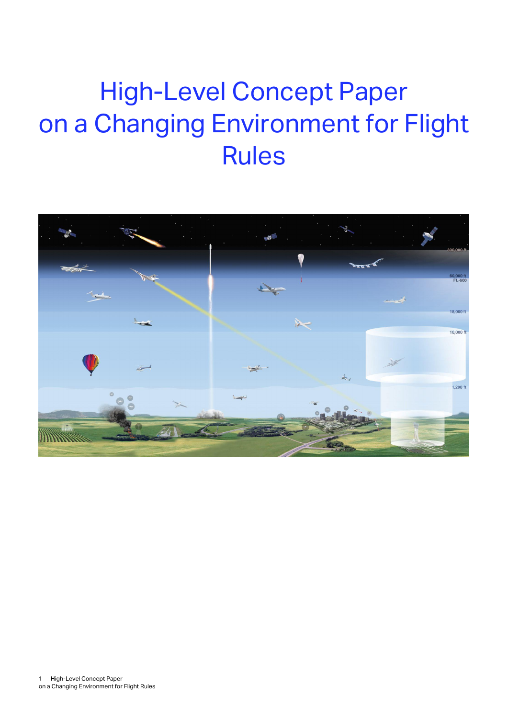# High-Level Concept Paper on a Changing Environment for Flight Rules

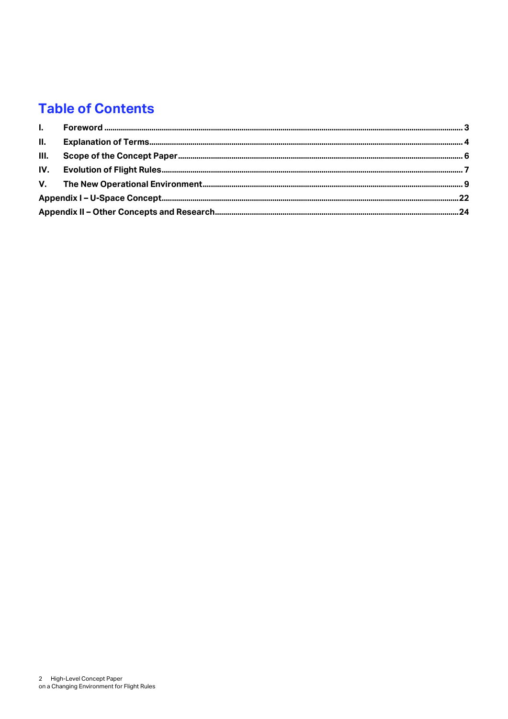### **Table of Contents**

| II. |  |  |  |  |  |
|-----|--|--|--|--|--|
|     |  |  |  |  |  |
|     |  |  |  |  |  |
|     |  |  |  |  |  |
|     |  |  |  |  |  |
|     |  |  |  |  |  |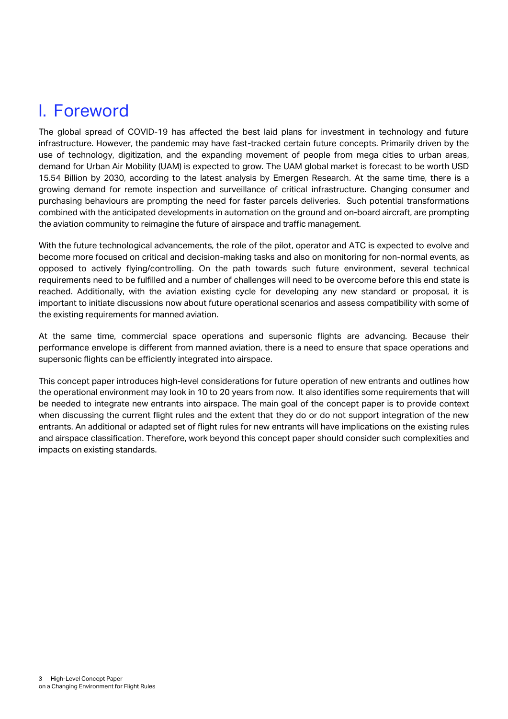### <span id="page-2-0"></span>I. Foreword

The global spread of COVID-19 has affected the best laid plans for investment in technology and future infrastructure. However, the pandemic may have fast-tracked certain future concepts. Primarily driven by the use of technology, digitization, and the expanding movement of people from mega cities to urban areas, demand for Urban Air Mobility (UAM) is expected to grow. The UAM global market is forecast to be worth USD 15.54 Billion by 2030, according to the latest analysis by Emergen Research. At the same time, there is a growing demand for remote inspection and surveillance of critical infrastructure. Changing consumer and purchasing behaviours are prompting the need for faster parcels deliveries. Such potential transformations combined with the anticipated developments in automation on the ground and on-board aircraft, are prompting the aviation community to reimagine the future of airspace and traffic management.

With the future technological advancements, the role of the pilot, operator and ATC is expected to evolve and become more focused on critical and decision-making tasks and also on monitoring for non-normal events, as opposed to actively flying/controlling. On the path towards such future environment, several technical requirements need to be fulfilled and a number of challenges will need to be overcome before this end state is reached. Additionally, with the aviation existing cycle for developing any new standard or proposal, it is important to initiate discussions now about future operational scenarios and assess compatibility with some of the existing requirements for manned aviation.

At the same time, commercial space operations and supersonic flights are advancing. Because their performance envelope is different from manned aviation, there is a need to ensure that space operations and supersonic flights can be efficiently integrated into airspace.

This concept paper introduces high-level considerations for future operation of new entrants and outlines how the operational environment may look in 10 to 20 years from now. It also identifies some requirements that will be needed to integrate new entrants into airspace. The main goal of the concept paper is to provide context when discussing the current flight rules and the extent that they do or do not support integration of the new entrants. An additional or adapted set of flight rules for new entrants will have implications on the existing rules and airspace classification. Therefore, work beyond this concept paper should consider such complexities and impacts on existing standards.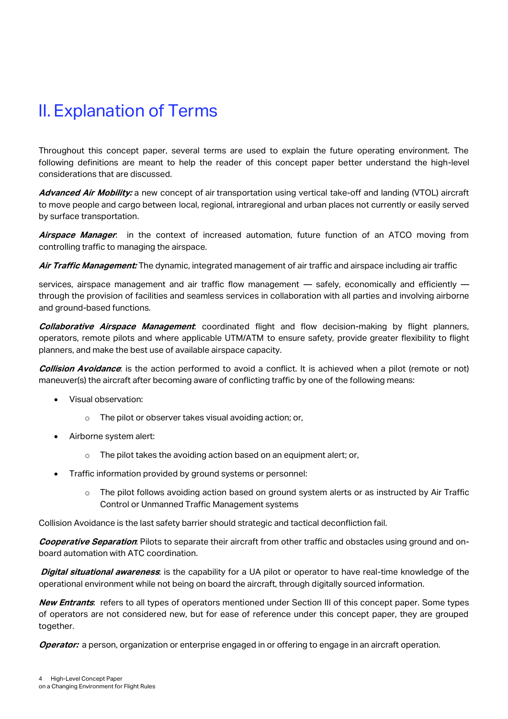### <span id="page-3-0"></span>II. Explanation of Terms

Throughout this concept paper, several terms are used to explain the future operating environment. The following definitions are meant to help the reader of this concept paper better understand the high-level considerations that are discussed.

**Advanced Air Mobility:** a new concept of air transportation using vertical take-off and landing (VTOL) aircraft to move people and cargo between local, regional, intraregional and urban places not currently or easily served by surface transportation.

**Airspace Manager**: in the context of increased automation, future function of an ATCO moving from controlling traffic to managing the airspace.

**Air Traffic Management:** The dynamic, integrated management of air traffic and airspace including air traffic

services, airspace management and air traffic flow management - safely, economically and efficiently through the provision of facilities and seamless services in collaboration with all parties and involving airborne and ground-based functions.

**Collaborative Airspace Management**: coordinated flight and flow decision-making by flight planners, operators, remote pilots and where applicable UTM/ATM to ensure safety, provide greater flexibility to flight planners, and make the best use of available airspace capacity.

**Collision Avoidance**: is the action performed to avoid a conflict. It is achieved when a pilot (remote or not) maneuver(s) the aircraft after becoming aware of conflicting traffic by one of the following means:

- Visual observation:
	- o The pilot or observer takes visual avoiding action; or,
- Airborne system alert:
	- o The pilot takes the avoiding action based on an equipment alert; or,
	- [Traffic information](https://www.skybrary.aero/index.php/Traffic_Information) provided by ground systems or personnel:
		- o The pilot follows avoiding action based on ground system alerts or as instructed by Air Traffic Control or Unmanned Traffic Management systems

Collision Avoidance is the last safety barrier should strategic and tactical deconfliction fail.

**Cooperative Separation**: Pilots to separate their aircraft from other traffic and obstacles using ground and onboard automation with ATC coordination.

**Digital situational awareness**: is the capability for a UA pilot or operator to have real-time knowledge of the operational environment while not being on board the aircraft, through digitally sourced information.

**New Entrants**: refers to all types of operators mentioned under Section III of this concept paper. Some types of operators are not considered new, but for ease of reference under this concept paper, they are grouped together.

**Operator:** a person, organization or enterprise engaged in or offering to engage in an aircraft operation.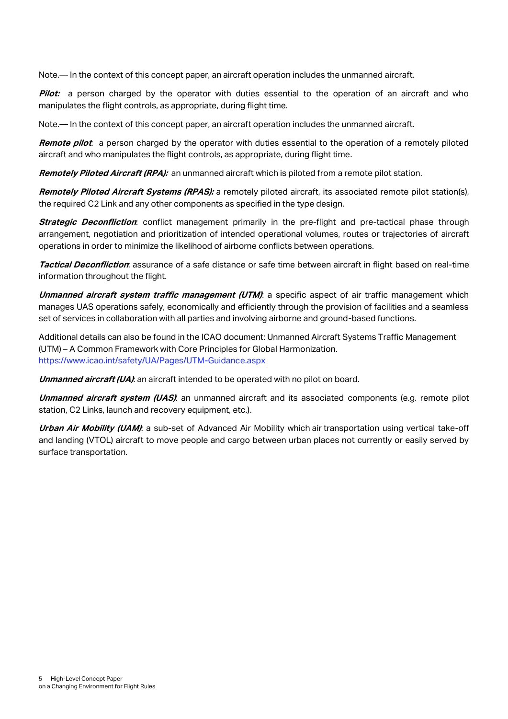Note.— In the context of this concept paper, an aircraft operation includes the unmanned aircraft.

**Pilot:** a person charged by the operator with duties essential to the operation of an aircraft and who manipulates the flight controls, as appropriate, during flight time.

Note.— In the context of this concept paper, an aircraft operation includes the unmanned aircraft.

**Remote pilot**: a person charged by the operator with duties essential to the operation of a remotely piloted aircraft and who manipulates the flight controls, as appropriate, during flight time.

**Remotely Piloted Aircraft (RPA):** an unmanned aircraft which is piloted from a remote pilot station.

**Remotely Piloted Aircraft Systems (RPAS):** a remotely piloted aircraft, its associated remote pilot station(s), the required C2 Link and any other components as specified in the type design.

**Strategic Deconfliction**: conflict management primarily in the pre-flight and pre-tactical phase through arrangement, negotiation and prioritization of intended operational volumes, routes or trajectories of aircraft operations in order to minimize the likelihood of airborne conflicts between operations.

**Tactical Deconfliction**: assurance of a safe distance or safe time between aircraft in flight based on real-time information throughout the flight.

**Unmanned aircraft system traffic management (UTM):** a specific aspect of air traffic management which manages UAS operations safely, economically and efficiently through the provision of facilities and a seamless set of services in collaboration with all parties and involving airborne and ground-based functions.

Additional details can also be found in the ICAO document: Unmanned Aircraft Systems Traffic Management (UTM) – A Common Framework with Core Principles for Global Harmonization. <https://www.icao.int/safety/UA/Pages/UTM-Guidance.aspx>

**Unmanned aircraft (UA)**: an aircraft intended to be operated with no pilot on board.

**Unmanned aircraft system (UAS)**: an unmanned aircraft and its associated components (e.g. remote pilot station, C2 Links, launch and recovery equipment, etc.).

**Urban Air Mobility (UAM)**: a sub-set of Advanced Air Mobility which air transportation using vertical take-off and landing (VTOL) aircraft to move people and cargo between urban places not currently or easily served by surface transportation.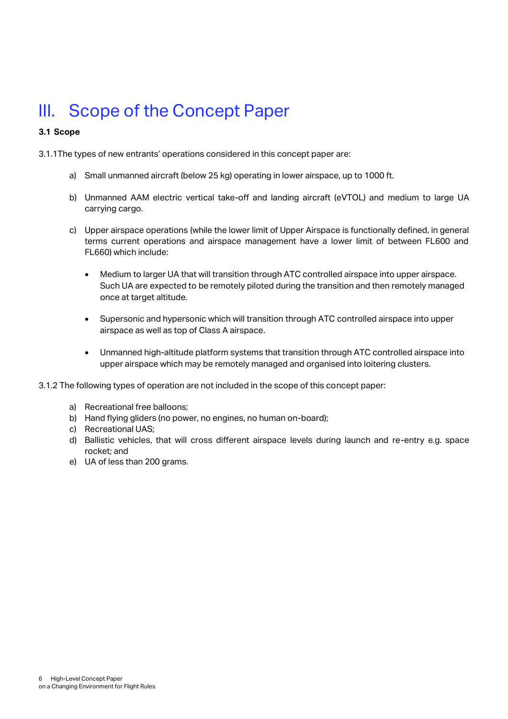### <span id="page-5-0"></span>III. Scope of the Concept Paper

#### **3.1 Scope**

3.1.1The types of new entrants' operations considered in this concept paper are:

- a) Small unmanned aircraft (below 25 kg) operating in lower airspace, up to 1000 ft.
- b) Unmanned AAM electric vertical take-off and landing aircraft (eVTOL) and medium to large UA carrying cargo.
- c) Upper airspace operations (while the lower limit of Upper Airspace is functionally defined, in general terms current operations and airspace management have a lower limit of between FL600 and FL660) which include:
	- Medium to larger UA that will transition through ATC controlled airspace into upper airspace. Such UA are expected to be remotely piloted during the transition and then remotely managed once at target altitude.
	- Supersonic and hypersonic which will transition through ATC controlled airspace into upper airspace as well as top of Class A airspace.
	- Unmanned high-altitude platform systems that transition through ATC controlled airspace into upper airspace which may be remotely managed and organised into loitering clusters.

3.1.2 The following types of operation are not included in the scope of this concept paper:

- a) Recreational free balloons;
- b) Hand flying gliders (no power, no engines, no human on-board);
- c) Recreational UAS;
- d) Ballistic vehicles, that will cross different airspace levels during launch and re-entry e.g. space rocket; and
- e) UA of less than 200 grams.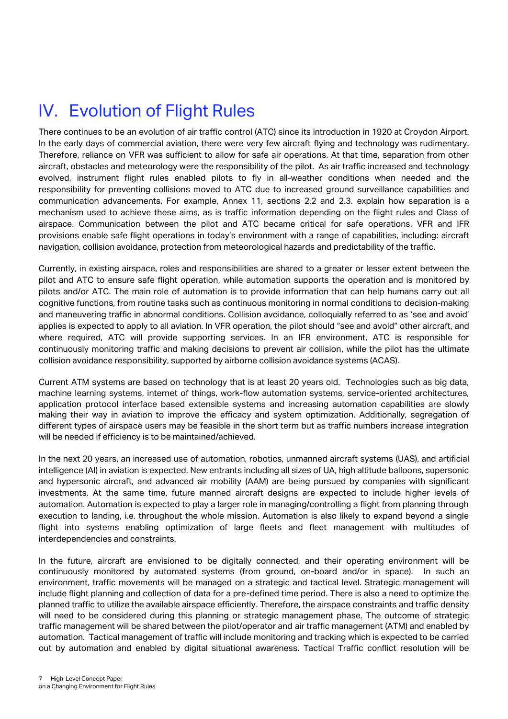<span id="page-6-0"></span>There continues to be an evolution of air traffic control (ATC) since its introduction in 1920 at Croydon Airport. In the early days of commercial aviation, there were very few aircraft flying and technology was rudimentary. Therefore, reliance on VFR was sufficient to allow for safe air operations. At that time, separation from other aircraft, obstacles and meteorology were the responsibility of the pilot. As air traffic increased and technology evolved, instrument flight rules enabled pilots to fly in all-weather conditions when needed and the responsibility for preventing collisions moved to ATC due to increased ground surveillance capabilities and communication advancements. For example, Annex 11, sections 2.2 and 2.3. explain how separation is a mechanism used to achieve these aims, as is traffic information depending on the flight rules and Class of airspace. Communication between the pilot and ATC became critical for safe operations. VFR and IFR provisions enable safe flight operations in today's environment with a range of capabilities, including: aircraft navigation, collision avoidance, protection from meteorological hazards and predictability of the traffic.

Currently, in existing airspace, roles and responsibilities are shared to a greater or lesser extent between the pilot and ATC to ensure safe flight operation, while automation supports the operation and is monitored by pilots and/or ATC. The main role of automation is to provide information that can help humans carry out all cognitive functions, from routine tasks such as continuous monitoring in normal conditions to decision-making and maneuvering traffic in abnormal conditions. Collision avoidance, colloquially referred to as 'see and avoid' applies is expected to apply to all aviation. In VFR operation, the pilot should "see and avoid" other aircraft, and where required, ATC will provide supporting services. In an IFR environment, ATC is responsible for continuously monitoring traffic and making decisions to prevent air collision, while the pilot has the ultimate collision avoidance responsibility, supported by airborne collision avoidance systems (ACAS).

Current ATM systems are based on technology that is at least 20 years old. Technologies such as big data, machine learning systems, internet of things, work-flow automation systems, service-oriented architectures, application protocol interface based extensible systems and increasing automation capabilities are slowly making their way in aviation to improve the efficacy and system optimization. Additionally, segregation of different types of airspace users may be feasible in the short term but as traffic numbers increase integration will be needed if efficiency is to be maintained/achieved.

In the next 20 years, an increased use of automation, robotics, unmanned aircraft systems (UAS), and artificial intelligence (AI) in aviation is expected. New entrants including all sizes of UA, high altitude balloons, supersonic and hypersonic aircraft, and advanced air mobility (AAM) are being pursued by companies with significant investments. At the same time, future manned aircraft designs are expected to include higher levels of automation. Automation is expected to play a larger role in managing/controlling a flight from planning through execution to landing, i.e. throughout the whole mission. Automation is also likely to expand beyond a single flight into systems enabling optimization of large fleets and fleet management with multitudes of interdependencies and constraints.

In the future, aircraft are envisioned to be digitally connected, and their operating environment will be continuously monitored by automated systems (from ground, on-board and/or in space). In such an environment, traffic movements will be managed on a strategic and tactical level. Strategic management will include flight planning and collection of data for a pre-defined time period. There is also a need to optimize the planned traffic to utilize the available airspace efficiently. Therefore, the airspace constraints and traffic density will need to be considered during this planning or strategic management phase. The outcome of strategic traffic management will be shared between the pilot/operator and air traffic management (ATM) and enabled by automation. Tactical management of traffic will include monitoring and tracking which is expected to be carried out by automation and enabled by digital situational awareness. Tactical Traffic conflict resolution will be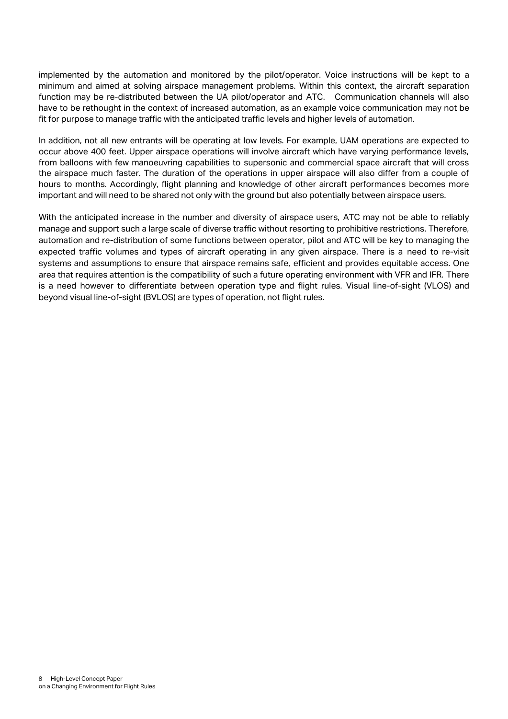implemented by the automation and monitored by the pilot/operator. Voice instructions will be kept to a minimum and aimed at solving airspace management problems. Within this context, the aircraft separation function may be re-distributed between the UA pilot/operator and ATC. Communication channels will also have to be rethought in the context of increased automation, as an example voice communication may not be fit for purpose to manage traffic with the anticipated traffic levels and higher levels of automation.

In addition, not all new entrants will be operating at low levels. For example, UAM operations are expected to occur above 400 feet. Upper airspace operations will involve aircraft which have varying performance levels, from balloons with few manoeuvring capabilities to supersonic and commercial space aircraft that will cross the airspace much faster. The duration of the operations in upper airspace will also differ from a couple of hours to months. Accordingly, flight planning and knowledge of other aircraft performances becomes more important and will need to be shared not only with the ground but also potentially between airspace users.

With the anticipated increase in the number and diversity of airspace users, ATC may not be able to reliably manage and support such a large scale of diverse traffic without resorting to prohibitive restrictions. Therefore, automation and re-distribution of some functions between operator, pilot and ATC will be key to managing the expected traffic volumes and types of aircraft operating in any given airspace. There is a need to re-visit systems and assumptions to ensure that airspace remains safe, efficient and provides equitable access. One area that requires attention is the compatibility of such a future operating environment with VFR and IFR. There is a need however to differentiate between operation type and flight rules. Visual line-of-sight (VLOS) and beyond visual line-of-sight (BVLOS) are types of operation, not flight rules.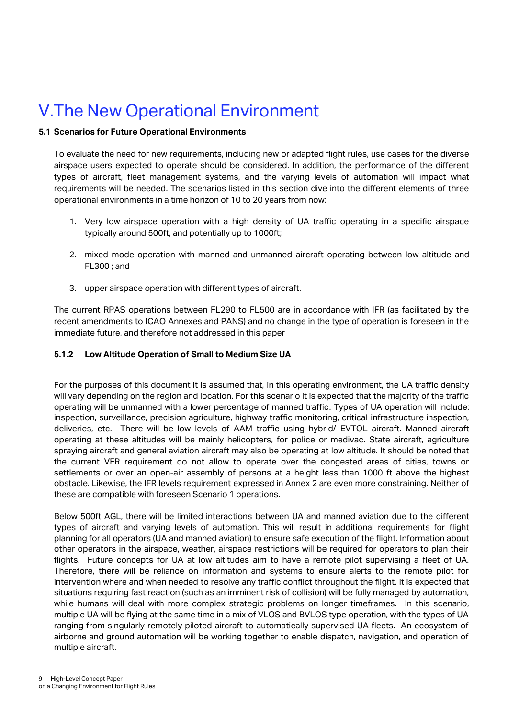### <span id="page-8-0"></span>V.The New Operational Environment

#### **5.1 Scenarios for Future Operational Environments**

To evaluate the need for new requirements, including new or adapted flight rules, use cases for the diverse airspace users expected to operate should be considered. In addition, the performance of the different types of aircraft, fleet management systems, and the varying levels of automation will impact what requirements will be needed. The scenarios listed in this section dive into the different elements of three operational environments in a time horizon of 10 to 20 years from now:

- 1. Very low airspace operation with a high density of UA traffic operating in a specific airspace typically around 500ft, and potentially up to 1000ft;
- 2. mixed mode operation with manned and unmanned aircraft operating between low altitude and FL300 ; and
- 3. upper airspace operation with different types of aircraft.

The current RPAS operations between FL290 to FL500 are in accordance with IFR (as facilitated by the recent amendments to ICAO Annexes and PANS) and no change in the type of operation is foreseen in the immediate future, and therefore not addressed in this paper

#### **5.1.2 Low Altitude Operation of Small to Medium Size UA**

For the purposes of this document it is assumed that, in this operating environment, the UA traffic density will vary depending on the region and location. For this scenario it is expected that the majority of the traffic operating will be unmanned with a lower percentage of manned traffic. Types of UA operation will include: inspection, surveillance, precision agriculture, highway traffic monitoring, critical infrastructure inspection, deliveries, etc. There will be low levels of AAM traffic using hybrid/ EVTOL aircraft. Manned aircraft operating at these altitudes will be mainly helicopters, for police or medivac. State aircraft, agriculture spraying aircraft and general aviation aircraft may also be operating at low altitude. It should be noted that the current VFR requirement do not allow to operate over the congested areas of cities, towns or settlements or over an open-air assembly of persons at a height less than 1000 ft above the highest obstacle. Likewise, the IFR levels requirement expressed in Annex 2 are even more constraining. Neither of these are compatible with foreseen Scenario 1 operations.

Below 500ft AGL, there will be limited interactions between UA and manned aviation due to the different types of aircraft and varying levels of automation. This will result in additional requirements for flight planning for all operators (UA and manned aviation) to ensure safe execution of the flight. Information about other operators in the airspace, weather, airspace restrictions will be required for operators to plan their flights. Future concepts for UA at low altitudes aim to have a remote pilot supervising a fleet of UA. Therefore, there will be reliance on information and systems to ensure alerts to the remote pilot for intervention where and when needed to resolve any traffic conflict throughout the flight. It is expected that situations requiring fast reaction (such as an imminent risk of collision) will be fully managed by automation, while humans will deal with more complex strategic problems on longer timeframes. In this scenario, multiple UA will be flying at the same time in a mix of VLOS and BVLOS type operation, with the types of UA ranging from singularly remotely piloted aircraft to automatically supervised UA fleets. An ecosystem of airborne and ground automation will be working together to enable dispatch, navigation, and operation of multiple aircraft.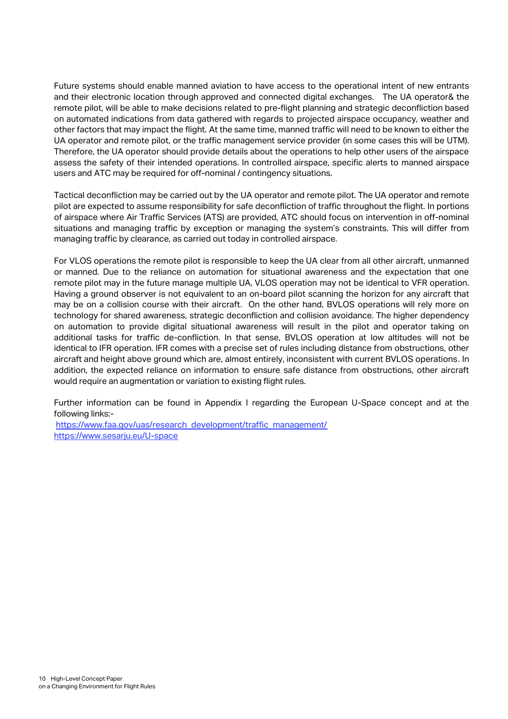Future systems should enable manned aviation to have access to the operational intent of new entrants and their electronic location through approved and connected digital exchanges. The UA operator& the remote pilot, will be able to make decisions related to pre-flight planning and strategic deconfliction based on automated indications from data gathered with regards to projected airspace occupancy, weather and other factors that may impact the flight. At the same time, manned traffic will need to be known to either the UA operator and remote pilot, or the traffic management service provider (in some cases this will be UTM). Therefore, the UA operator should provide details about the operations to help other users of the airspace assess the safety of their intended operations. In controlled airspace, specific alerts to manned airspace users and ATC may be required for off-nominal / contingency situations.

Tactical deconfliction may be carried out by the UA operator and remote pilot. The UA operator and remote pilot are expected to assume responsibility for safe deconfliction of traffic throughout the flight. In portions of airspace where Air Traffic Services (ATS) are provided, ATC should focus on intervention in off-nominal situations and managing traffic by exception or managing the system's constraints. This will differ from managing traffic by clearance, as carried out today in controlled airspace.

For VLOS operations the remote pilot is responsible to keep the UA clear from all other aircraft, unmanned or manned. Due to the reliance on automation for situational awareness and the expectation that one remote pilot may in the future manage multiple UA, VLOS operation may not be identical to VFR operation. Having a ground observer is not equivalent to an on-board pilot scanning the horizon for any aircraft that may be on a collision course with their aircraft. On the other hand, BVLOS operations will rely more on technology for shared awareness, strategic deconfliction and collision avoidance. The higher dependency on automation to provide digital situational awareness will result in the pilot and operator taking on additional tasks for traffic de-confliction. In that sense, BVLOS operation at low altitudes will not be identical to IFR operation. IFR comes with a precise set of rules including distance from obstructions, other aircraft and height above ground which are, almost entirely, inconsistent with current BVLOS operations. In addition, the expected reliance on information to ensure safe distance from obstructions, other aircraft would require an augmentation or variation to existing flight rules.

Further information can be found in Appendix I regarding the European U-Space concept and at the following links:-

[https://www.faa.gov/uas/research\\_development/traffic\\_management/](https://www.faa.gov/uas/research_development/traffic_management/) https://www.sesariu.eu/U-space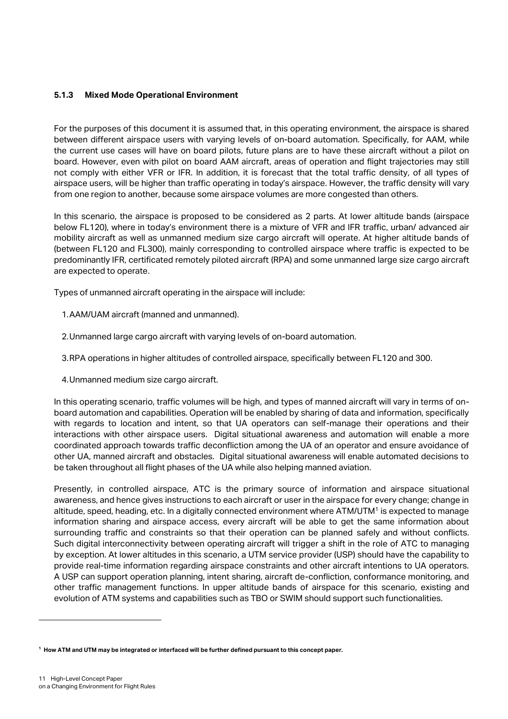#### **5.1.3 Mixed Mode Operational Environment**

For the purposes of this document it is assumed that, in this operating environment, the airspace is shared between different airspace users with varying levels of on-board automation. Specifically, for AAM, while the current use cases will have on board pilots, future plans are to have these aircraft without a pilot on board. However, even with pilot on board AAM aircraft, areas of operation and flight trajectories may still not comply with either VFR or IFR. In addition, it is forecast that the total traffic density, of all types of airspace users, will be higher than traffic operating in today's airspace. However, the traffic density will vary from one region to another, because some airspace volumes are more congested than others.

In this scenario, the airspace is proposed to be considered as 2 parts. At lower altitude bands (airspace below FL120), where in today's environment there is a mixture of VFR and IFR traffic, urban/ advanced air mobility aircraft as well as unmanned medium size cargo aircraft will operate. At higher altitude bands of (between FL120 and FL300), mainly corresponding to controlled airspace where traffic is expected to be predominantly IFR, certificated remotely piloted aircraft (RPA) and some unmanned large size cargo aircraft are expected to operate.

Types of unmanned aircraft operating in the airspace will include:

- 1.AAM/UAM aircraft (manned and unmanned).
- 2.Unmanned large cargo aircraft with varying levels of on-board automation.
- 3.RPA operations in higher altitudes of controlled airspace, specifically between FL120 and 300.
- 4.Unmanned medium size cargo aircraft.

In this operating scenario, traffic volumes will be high, and types of manned aircraft will vary in terms of onboard automation and capabilities. Operation will be enabled by sharing of data and information, specifically with regards to location and intent, so that UA operators can self-manage their operations and their interactions with other airspace users. Digital situational awareness and automation will enable a more coordinated approach towards traffic deconfliction among the UA of an operator and ensure avoidance of other UA, manned aircraft and obstacles. Digital situational awareness will enable automated decisions to be taken throughout all flight phases of the UA while also helping manned aviation.

Presently, in controlled airspace, ATC is the primary source of information and airspace situational awareness, and hence gives instructions to each aircraft or user in the airspace for every change; change in altitude, speed, heading, etc. In a digitally connected environment where ATM/UTM<sup>1</sup> is expected to manage information sharing and airspace access, every aircraft will be able to get the same information about surrounding traffic and constraints so that their operation can be planned safely and without conflicts. Such digital interconnectivity between operating aircraft will trigger a shift in the role of ATC to managing by exception. At lower altitudes in this scenario, a UTM service provider (USP) should have the capability to provide real-time information regarding airspace constraints and other aircraft intentions to UA operators. A USP can support operation planning, intent sharing, aircraft de-confliction, conformance monitoring, and other traffic management functions. In upper altitude bands of airspace for this scenario, existing and evolution of ATM systems and capabilities such as TBO or SWIM should support such functionalities.

**<sup>1</sup> How ATM and UTM may be integrated or interfaced will be further defined pursuant to this concept paper.**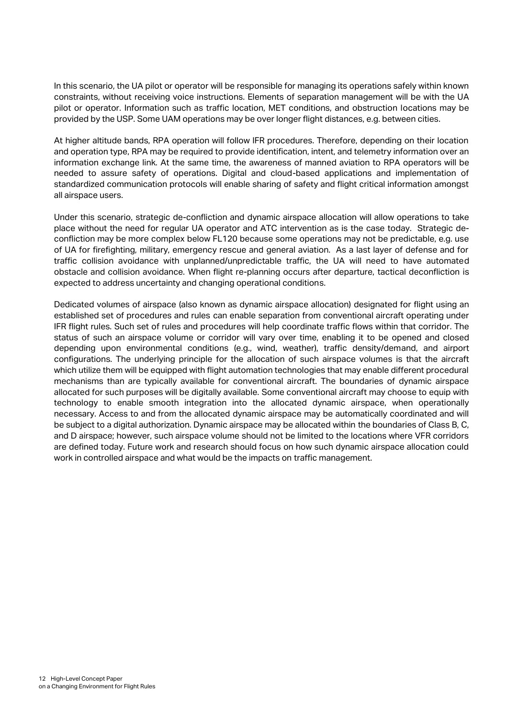In this scenario, the UA pilot or operator will be responsible for managing its operations safely within known constraints, without receiving voice instructions. Elements of separation management will be with the UA pilot or operator. Information such as traffic location, MET conditions, and obstruction locations may be provided by the USP. Some UAM operations may be over longer flight distances, e.g. between cities.

At higher altitude bands, RPA operation will follow IFR procedures. Therefore, depending on their location and operation type, RPA may be required to provide identification, intent, and telemetry information over an information exchange link. At the same time, the awareness of manned aviation to RPA operators will be needed to assure safety of operations. Digital and cloud-based applications and implementation of standardized communication protocols will enable sharing of safety and flight critical information amongst all airspace users.

Under this scenario, strategic de-confliction and dynamic airspace allocation will allow operations to take place without the need for regular UA operator and ATC intervention as is the case today. Strategic deconfliction may be more complex below FL120 because some operations may not be predictable, e.g. use of UA for firefighting, military, emergency rescue and general aviation. As a last layer of defense and for traffic collision avoidance with unplanned/unpredictable traffic, the UA will need to have automated obstacle and collision avoidance. When flight re-planning occurs after departure, tactical deconfliction is expected to address uncertainty and changing operational conditions.

Dedicated volumes of airspace (also known as dynamic airspace allocation) designated for flight using an established set of procedures and rules can enable separation from conventional aircraft operating under IFR flight rules. Such set of rules and procedures will help coordinate traffic flows within that corridor. The status of such an airspace volume or corridor will vary over time, enabling it to be opened and closed depending upon environmental conditions (e.g., wind, weather), traffic density/demand, and airport configurations. The underlying principle for the allocation of such airspace volumes is that the aircraft which utilize them will be equipped with flight automation technologies that may enable different procedural mechanisms than are typically available for conventional aircraft. The boundaries of dynamic airspace allocated for such purposes will be digitally available. Some conventional aircraft may choose to equip with technology to enable smooth integration into the allocated dynamic airspace, when operationally necessary. Access to and from the allocated dynamic airspace may be automatically coordinated and will be subject to a digital authorization. Dynamic airspace may be allocated within the boundaries of Class B, C, and D airspace; however, such airspace volume should not be limited to the locations where VFR corridors are defined today. Future work and research should focus on how such dynamic airspace allocation could work in controlled airspace and what would be the impacts on traffic management.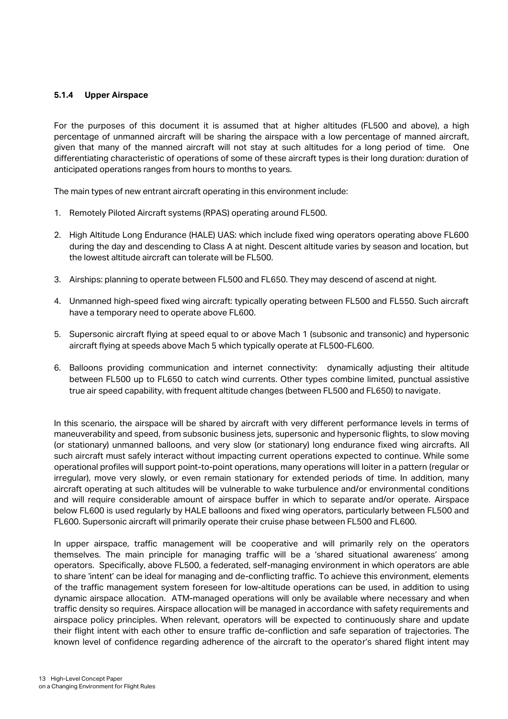#### **5.1.4 Upper Airspace**

For the purposes of this document it is assumed that at higher altitudes (FL500 and above), a high percentage of unmanned aircraft will be sharing the airspace with a low percentage of manned aircraft, given that many of the manned aircraft will not stay at such altitudes for a long period of time. One differentiating characteristic of operations of some of these aircraft types is their long duration: duration of anticipated operations ranges from hours to months to years.

The main types of new entrant aircraft operating in this environment include:

- 1. Remotely Piloted Aircraft systems (RPAS) operating around FL500.
- 2. High Altitude Long Endurance (HALE) UAS: which include fixed wing operators operating above FL600 during the day and descending to Class A at night. Descent altitude varies by season and location, but the lowest altitude aircraft can tolerate will be FL500.
- 3. Airships: planning to operate between FL500 and FL650. They may descend of ascend at night.
- 4. Unmanned high-speed fixed wing aircraft: typically operating between FL500 and FL550. Such aircraft have a temporary need to operate above FL600.
- 5. Supersonic aircraft flying at speed equal to or above Mach 1 (subsonic and transonic) and hypersonic aircraft flying at speeds above Mach 5 which typically operate at FL500-FL600.
- 6. Balloons providing communication and internet connectivity: dynamically adjusting their altitude between FL500 up to FL650 to catch wind currents. Other types combine limited, punctual assistive true air speed capability, with frequent altitude changes (between FL500 and FL650) to navigate.

In this scenario, the airspace will be shared by aircraft with very different performance levels in terms of maneuverability and speed, from subsonic business jets, supersonic and hypersonic flights, to slow moving (or stationary) unmanned balloons, and very slow (or stationary) long endurance fixed wing aircrafts. All such aircraft must safely interact without impacting current operations expected to continue. While some operational profiles will support point-to-point operations, many operations will loiter in a pattern (regular or irregular), move very slowly, or even remain stationary for extended periods of time. In addition, many aircraft operating at such altitudes will be vulnerable to wake turbulence and/or environmental conditions and will require considerable amount of airspace buffer in which to separate and/or operate. Airspace below FL600 is used regularly by HALE balloons and fixed wing operators, particularly between FL500 and FL600. Supersonic aircraft will primarily operate their cruise phase between FL500 and FL600.

In upper airspace, traffic management will be cooperative and will primarily rely on the operators themselves. The main principle for managing traffic will be a 'shared situational awareness' among operators. Specifically, above FL500, a federated, self-managing environment in which operators are able to share 'intent' can be ideal for managing and de-conflicting traffic. To achieve this environment, elements of the traffic management system foreseen for low-altitude operations can be used, in addition to using dynamic airspace allocation. ATM-managed operations will only be available where necessary and when traffic density so requires. Airspace allocation will be managed in accordance with safety requirements and airspace policy principles. When relevant, operators will be expected to continuously share and update their flight intent with each other to ensure traffic de-confliction and safe separation of trajectories. The known level of confidence regarding adherence of the aircraft to the operator's shared flight intent may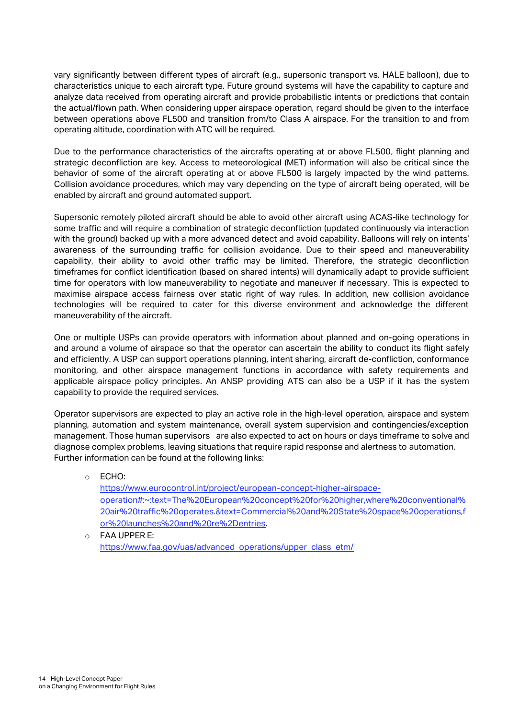vary significantly between different types of aircraft (e.g., supersonic transport vs. HALE balloon), due to characteristics unique to each aircraft type. Future ground systems will have the capability to capture and analyze data received from operating aircraft and provide probabilistic intents or predictions that contain the actual/flown path. When considering upper airspace operation, regard should be given to the interface between operations above FL500 and transition from/to Class A airspace. For the transition to and from operating altitude, coordination with ATC will be required.

Due to the performance characteristics of the aircrafts operating at or above FL500, flight planning and strategic deconfliction are key. Access to meteorological (MET) information will also be critical since the behavior of some of the aircraft operating at or above FL500 is largely impacted by the wind patterns. Collision avoidance procedures, which may vary depending on the type of aircraft being operated, will be enabled by aircraft and ground automated support.

Supersonic remotely piloted aircraft should be able to avoid other aircraft using ACAS-like technology for some traffic and will require a combination of strategic deconfliction (updated continuously via interaction with the ground) backed up with a more advanced detect and avoid capability. Balloons will rely on intents' awareness of the surrounding traffic for collision avoidance. Due to their speed and maneuverability capability, their ability to avoid other traffic may be limited. Therefore, the strategic deconfliction timeframes for conflict identification (based on shared intents) will dynamically adapt to provide sufficient time for operators with low maneuverability to negotiate and maneuver if necessary. This is expected to maximise airspace access fairness over static right of way rules. In addition, new collision avoidance technologies will be required to cater for this diverse environment and acknowledge the different maneuverability of the aircraft.

One or multiple USPs can provide operators with information about planned and on-going operations in and around a volume of airspace so that the operator can ascertain the ability to conduct its flight safely and efficiently. A USP can support operations planning, intent sharing, aircraft de-confliction, conformance monitoring, and other airspace management functions in accordance with safety requirements and applicable airspace policy principles. An ANSP providing ATS can also be a USP if it has the system capability to provide the required services.

Operator supervisors are expected to play an active role in the high-level operation, airspace and system planning, automation and system maintenance, overall system supervision and contingencies/exception management. Those human supervisors are also expected to act on hours or days timeframe to solve and diagnose complex problems, leaving situations that require rapid response and alertness to automation. Further information can be found at the following links:

#### o ECHO: [https://www.eurocontrol.int/project/european-concept-higher-airspace](https://www.eurocontrol.int/project/european-concept-higher-airspace-operation#:~:text=The%20European%20concept%20for%20higher,where%20conventional%20air%20traffic%20operates.&text=Commercial%20and%20State%20space%20operations,for%20launches%20and%20re%2Dentries)[operation#:~:text=The%20European%20concept%20for%20higher,where%20conventional%](https://www.eurocontrol.int/project/european-concept-higher-airspace-operation#:~:text=The%20European%20concept%20for%20higher,where%20conventional%20air%20traffic%20operates.&text=Commercial%20and%20State%20space%20operations,for%20launches%20and%20re%2Dentries) [20air%20traffic%20operates.&text=Commercial%20and%20State%20space%20operations,f](https://www.eurocontrol.int/project/european-concept-higher-airspace-operation#:~:text=The%20European%20concept%20for%20higher,where%20conventional%20air%20traffic%20operates.&text=Commercial%20and%20State%20space%20operations,for%20launches%20and%20re%2Dentries) [or%20launches%20and%20re%2Dentries.](https://www.eurocontrol.int/project/european-concept-higher-airspace-operation#:~:text=The%20European%20concept%20for%20higher,where%20conventional%20air%20traffic%20operates.&text=Commercial%20and%20State%20space%20operations,for%20launches%20and%20re%2Dentries)

o FAA UPPER E: [https://www.faa.gov/uas/advanced\\_operations/upper\\_class\\_etm/](https://www.faa.gov/uas/advanced_operations/upper_class_etm/)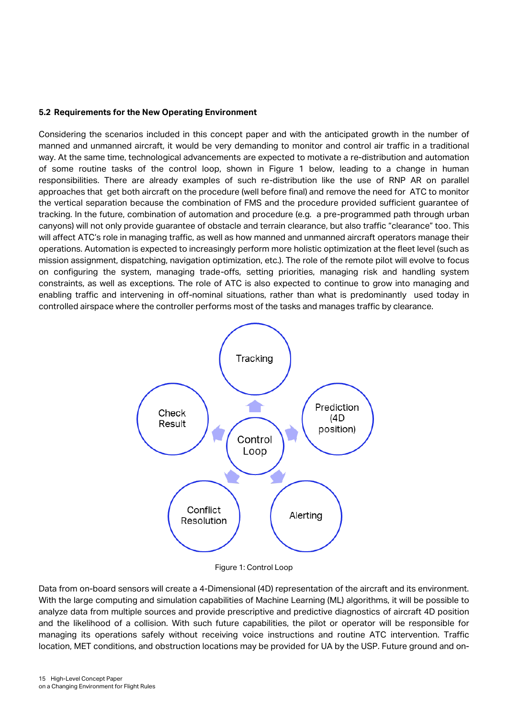#### **5.2 Requirements for the New Operating Environment**

Considering the scenarios included in this concept paper and with the anticipated growth in the number of manned and unmanned aircraft, it would be very demanding to monitor and control air traffic in a traditional way. At the same time, technological advancements are expected to motivate a re-distribution and automation of some routine tasks of the control loop, shown in Figure 1 below, leading to a change in human responsibilities. There are already examples of such re-distribution like the use of RNP AR on parallel approaches that get both aircraft on the procedure (well before final) and remove the need for ATC to monitor the vertical separation because the combination of FMS and the procedure provided sufficient guarantee of tracking. In the future, combination of automation and procedure (e.g. a pre-programmed path through urban canyons) will not only provide guarantee of obstacle and terrain clearance, but also traffic "clearance" too. This will affect ATC's role in managing traffic, as well as how manned and unmanned aircraft operators manage their operations. Automation is expected to increasingly perform more holistic optimization at the fleet level (such as mission assignment, dispatching, navigation optimization, etc.). The role of the remote pilot will evolve to focus on configuring the system, managing trade-offs, setting priorities, managing risk and handling system constraints, as well as exceptions. The role of ATC is also expected to continue to grow into managing and enabling traffic and intervening in off-nominal situations, rather than what is predominantly used today in controlled airspace where the controller performs most of the tasks and manages traffic by clearance.



Figure 1: Control Loop

Data from on-board sensors will create a 4-Dimensional (4D) representation of the aircraft and its environment. With the large computing and simulation capabilities of Machine Learning (ML) algorithms, it will be possible to analyze data from multiple sources and provide prescriptive and predictive diagnostics of aircraft 4D position and the likelihood of a collision. With such future capabilities, the pilot or operator will be responsible for managing its operations safely without receiving voice instructions and routine ATC intervention. Traffic location, MET conditions, and obstruction locations may be provided for UA by the USP. Future ground and on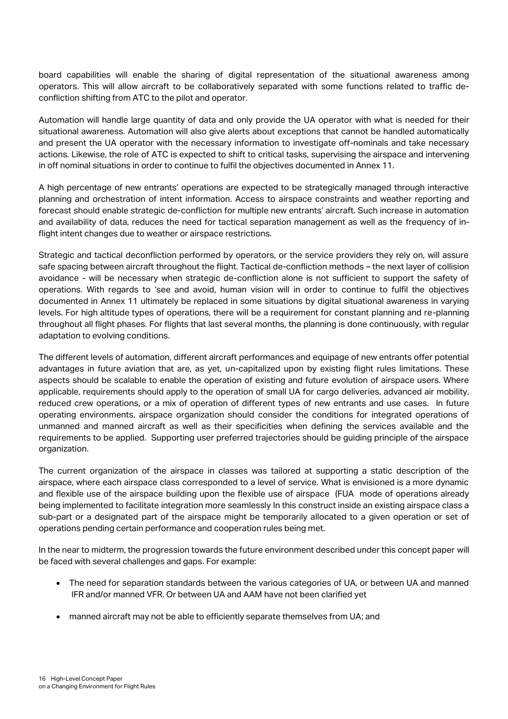board capabilities will enable the sharing of digital representation of the situational awareness among operators. This will allow aircraft to be collaboratively separated with some functions related to traffic deconfliction shifting from ATC to the pilot and operator.

Automation will handle large quantity of data and only provide the UA operator with what is needed for their situational awareness. Automation will also give alerts about exceptions that cannot be handled automatically and present the UA operator with the necessary information to investigate off-nominals and take necessary actions. Likewise, the role of ATC is expected to shift to critical tasks, supervising the airspace and intervening in off nominal situations in order to continue to fulfil the objectives documented in Annex 11.

A high percentage of new entrants' operations are expected to be strategically managed through interactive planning and orchestration of intent information. Access to airspace constraints and weather reporting and forecast should enable strategic de-confliction for multiple new entrants' aircraft. Such increase in automation and availability of data, reduces the need for tactical separation management as well as the frequency of inflight intent changes due to weather or airspace restrictions.

Strategic and tactical deconfliction performed by operators, or the service providers they rely on, will assure safe spacing between aircraft throughout the flight. Tactical de-confliction methods – the next layer of collision avoidance - will be necessary when strategic de-confliction alone is not sufficient to support the safety of operations. With regards to 'see and avoid, human vision will in order to continue to fulfil the objectives documented in Annex 11 ultimately be replaced in some situations by digital situational awareness in varying levels. For high altitude types of operations, there will be a requirement for constant planning and re-planning throughout all flight phases. For flights that last several months, the planning is done continuously, with regular adaptation to evolving conditions.

The different levels of automation, different aircraft performances and equipage of new entrants offer potential advantages in future aviation that are, as yet, un-capitalized upon by existing flight rules limitations. These aspects should be scalable to enable the operation of existing and future evolution of airspace users. Where applicable, requirements should apply to the operation of small UA for cargo deliveries, advanced air mobility, reduced crew operations, or a mix of operation of different types of new entrants and use cases. In future operating environments, airspace organization should consider the conditions for integrated operations of unmanned and manned aircraft as well as their specificities when defining the services available and the requirements to be applied. Supporting user preferred trajectories should be guiding principle of the airspace organization.

The current organization of the airspace in classes was tailored at supporting a static description of the airspace, where each airspace class corresponded to a level of service. What is envisioned is a more dynamic and flexible use of the airspace building upon the flexible use of airspace (FUA mode of operations already being implemented to facilitate integration more seamlessly In this construct inside an existing airspace class a sub-part or a designated part of the airspace might be temporarily allocated to a given operation or set of operations pending certain performance and cooperation rules being met.

In the near to midterm, the progression towards the future environment described under this concept paper will be faced with several challenges and gaps. For example:

- The need for separation standards between the various categories of UA, or between UA and manned IFR and/or manned VFR. Or between UA and AAM have not been clarified yet
- manned aircraft may not be able to efficiently separate themselves from UA; and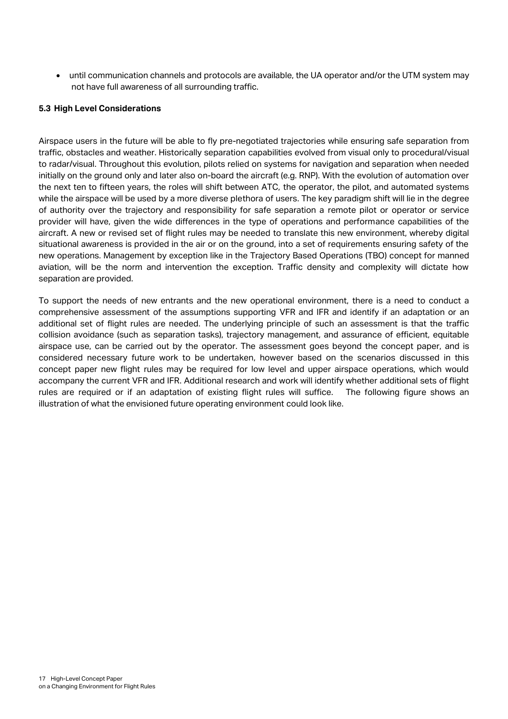• until communication channels and protocols are available, the UA operator and/or the UTM system may not have full awareness of all surrounding traffic.

#### **5.3 High Level Considerations**

Airspace users in the future will be able to fly pre-negotiated trajectories while ensuring safe separation from traffic, obstacles and weather. Historically separation capabilities evolved from visual only to procedural/visual to radar/visual. Throughout this evolution, pilots relied on systems for navigation and separation when needed initially on the ground only and later also on-board the aircraft (e.g. RNP). With the evolution of automation over the next ten to fifteen years, the roles will shift between ATC, the operator, the pilot, and automated systems while the airspace will be used by a more diverse plethora of users. The key paradigm shift will lie in the degree of authority over the trajectory and responsibility for safe separation a remote pilot or operator or service provider will have, given the wide differences in the type of operations and performance capabilities of the aircraft. A new or revised set of flight rules may be needed to translate this new environment, whereby digital situational awareness is provided in the air or on the ground, into a set of requirements ensuring safety of the new operations. Management by exception like in the Trajectory Based Operations (TBO) concept for manned aviation, will be the norm and intervention the exception. Traffic density and complexity will dictate how separation are provided.

To support the needs of new entrants and the new operational environment, there is a need to conduct a comprehensive assessment of the assumptions supporting VFR and IFR and identify if an adaptation or an additional set of flight rules are needed. The underlying principle of such an assessment is that the traffic collision avoidance (such as separation tasks), trajectory management, and assurance of efficient, equitable airspace use, can be carried out by the operator. The assessment goes beyond the concept paper, and is considered necessary future work to be undertaken, however based on the scenarios discussed in this concept paper new flight rules may be required for low level and upper airspace operations, which would accompany the current VFR and IFR. Additional research and work will identify whether additional sets of flight rules are required or if an adaptation of existing flight rules will suffice. The following figure shows an illustration of what the envisioned future operating environment could look like.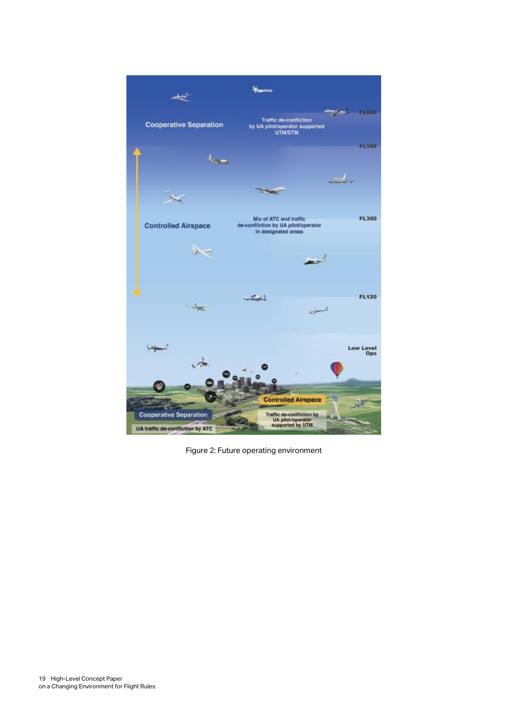

Figure 2: Future operating environment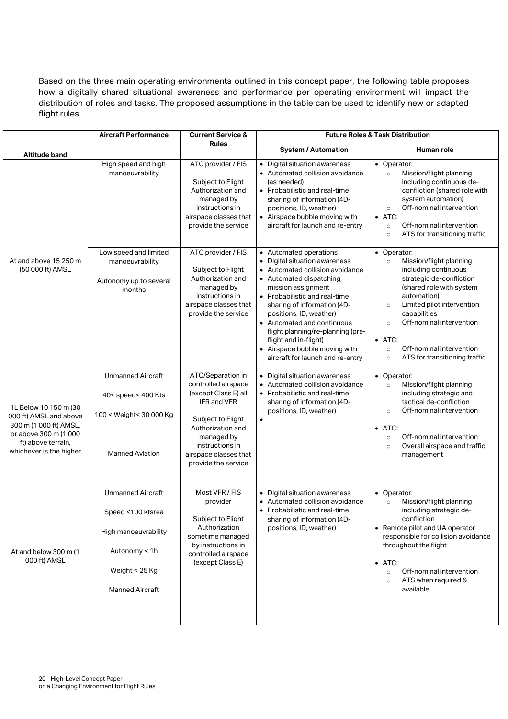Based on the three main operating environments outlined in this concept paper, the following table proposes how a digitally shared situational awareness and performance per operating environment will impact the distribution of roles and tasks. The proposed assumptions in the table can be used to identify new or adapted flight rules.

|                                                                                                                                                     | <b>Aircraft Performance</b>                                                                                                        | <b>Current Service &amp;</b><br><b>Rules</b>                                                                                                                                                                      | <b>Future Roles &amp; Task Distribution</b>                                                                                                                                                                                                                                                                                                                                                            |                                                                                                                                                                                                                                                                                                                                                       |
|-----------------------------------------------------------------------------------------------------------------------------------------------------|------------------------------------------------------------------------------------------------------------------------------------|-------------------------------------------------------------------------------------------------------------------------------------------------------------------------------------------------------------------|--------------------------------------------------------------------------------------------------------------------------------------------------------------------------------------------------------------------------------------------------------------------------------------------------------------------------------------------------------------------------------------------------------|-------------------------------------------------------------------------------------------------------------------------------------------------------------------------------------------------------------------------------------------------------------------------------------------------------------------------------------------------------|
| Altitude band                                                                                                                                       |                                                                                                                                    |                                                                                                                                                                                                                   | <b>System / Automation</b>                                                                                                                                                                                                                                                                                                                                                                             | Human role                                                                                                                                                                                                                                                                                                                                            |
|                                                                                                                                                     | High speed and high<br>manoeuvrability                                                                                             | ATC provider / FIS<br>Subject to Flight<br>Authorization and<br>managed by<br>instructions in<br>airspace classes that<br>provide the service                                                                     | • Digital situation awareness<br>• Automated collision avoidance<br>(as needed)<br>• Probabilistic and real-time<br>sharing of information (4D-<br>positions, ID, weather)<br>• Airspace bubble moving with<br>aircraft for launch and re-entry                                                                                                                                                        | • Operator:<br>Mission/flight planning<br>$\circ$<br>including continuous de-<br>confliction (shared role with<br>system automation)<br>Off-nominal intervention<br>$\circ$<br>$\bullet$ ATC:<br>Off-nominal intervention<br>$\circ$<br>ATS for transitioning traffic<br>$\circ$                                                                      |
| At and above 15 250 m<br>(50 000 ft) AMSL                                                                                                           | Low speed and limited<br>manoeuvrability<br>Autonomy up to several<br>months                                                       | ATC provider / FIS<br>Subject to Flight<br>Authorization and<br>managed by<br>instructions in<br>airspace classes that<br>provide the service                                                                     | • Automated operations<br>• Digital situation awareness<br>• Automated collision avoidance<br>• Automated dispatching,<br>mission assignment<br>• Probabilistic and real-time<br>sharing of information (4D-<br>positions, ID, weather)<br>• Automated and continuous<br>flight planning/re-planning (pre-<br>flight and in-flight)<br>Airspace bubble moving with<br>aircraft for launch and re-entry | • Operator:<br>Mission/flight planning<br>$\circ$<br>including continuous<br>strategic de-confliction<br>(shared role with system<br>automation)<br>Limited pilot intervention<br>$\circ$<br>capabilities<br>Off-nominal intervention<br>$\circ$<br>$\bullet$ ATC:<br>Off-nominal intervention<br>$\circ$<br>ATS for transitioning traffic<br>$\circ$ |
| 1L Below 10 150 m (30<br>000 ft) AMSL and above<br>300 m (1 000 ft) AMSL,<br>or above 300 m (1 000<br>ft) above terrain,<br>whichever is the higher | <b>Unmanned Aircraft</b><br>40< speed< 400 Kts<br>100 < Weight< 30 000 Kg<br><b>Manned Aviation</b>                                | ATC/Separation in<br>controlled airspace<br>(except Class E) all<br><b>IFR and VFR</b><br>Subject to Flight<br>Authorization and<br>managed by<br>instructions in<br>airspace classes that<br>provide the service | • Digital situation awareness<br>• Automated collision avoidance<br>• Probabilistic and real-time<br>sharing of information (4D-<br>positions, ID, weather)<br>$\bullet$                                                                                                                                                                                                                               | • Operator:<br>Mission/flight planning<br>$\circ$<br>including strategic and<br>tactical de-confliction<br>Off-nominal intervention<br>$\circ$<br>$\bullet$ ATC:<br>Off-nominal intervention<br>$\circ$<br>Overall airspace and traffic<br>$\circ$<br>management                                                                                      |
| At and below 300 m (1<br>000 ft) AMSL                                                                                                               | <b>Unmanned Aircraft</b><br>Speed <100 ktsrea<br>High manoeuvrability<br>Autonomy < 1h<br>Weight < 25 Kg<br><b>Manned Aircraft</b> | Most VFR / FIS<br>provider<br>Subject to Flight<br>Authorization<br>sometime managed<br>by instructions in<br>controlled airspace<br>(except Class E)                                                             | • Digital situation awareness<br>• Automated collision avoidance<br>• Probabilistic and real-time<br>sharing of information (4D-<br>positions, ID, weather)                                                                                                                                                                                                                                            | • Operator:<br>Mission/flight planning<br>$\circ$<br>including strategic de-<br>confliction<br>• Remote pilot and UA operator<br>responsible for collision avoidance<br>throughout the flight<br>$\bullet$ ATC:<br>Off-nominal intervention<br>$\circ$<br>ATS when required &<br>$\circ$<br>available                                                 |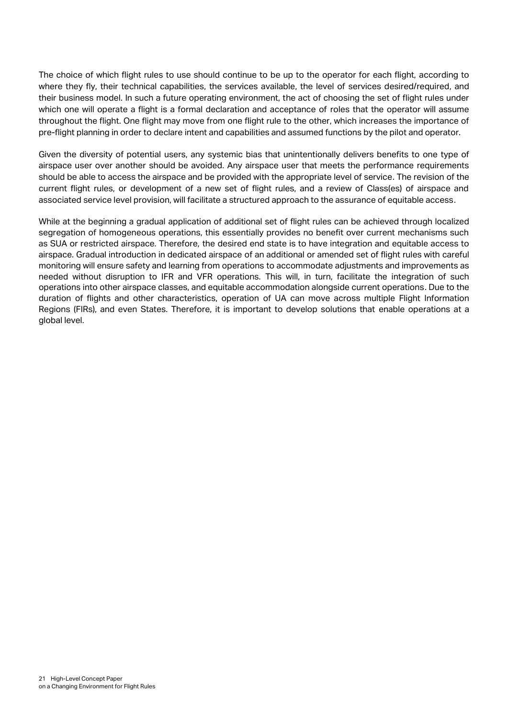The choice of which flight rules to use should continue to be up to the operator for each flight, according to where they fly, their technical capabilities, the services available, the level of services desired/required, and their business model. In such a future operating environment, the act of choosing the set of flight rules under which one will operate a flight is a formal declaration and acceptance of roles that the operator will assume throughout the flight. One flight may move from one flight rule to the other, which increases the importance of pre-flight planning in order to declare intent and capabilities and assumed functions by the pilot and operator.

Given the diversity of potential users, any systemic bias that unintentionally delivers benefits to one type of airspace user over another should be avoided. Any airspace user that meets the performance requirements should be able to access the airspace and be provided with the appropriate level of service. The revision of the current flight rules, or development of a new set of flight rules, and a review of Class(es) of airspace and associated service level provision, will facilitate a structured approach to the assurance of equitable access.

While at the beginning a gradual application of additional set of flight rules can be achieved through localized segregation of homogeneous operations, this essentially provides no benefit over current mechanisms such as SUA or restricted airspace. Therefore, the desired end state is to have integration and equitable access to airspace. Gradual introduction in dedicated airspace of an additional or amended set of flight rules with careful monitoring will ensure safety and learning from operations to accommodate adjustments and improvements as needed without disruption to IFR and VFR operations. This will, in turn, facilitate the integration of such operations into other airspace classes, and equitable accommodation alongside current operations. Due to the duration of flights and other characteristics, operation of UA can move across multiple Flight Information Regions (FIRs), and even States. Therefore, it is important to develop solutions that enable operations at a global level.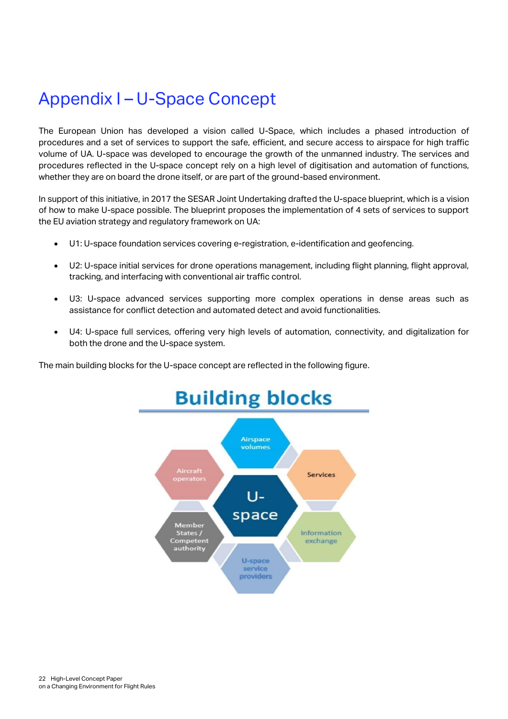## <span id="page-21-0"></span>Appendix I – U-Space Concept

The European Union has developed a vision called U-Space, which includes a phased introduction of procedures and a set of services to support the safe, efficient, and secure access to airspace for high traffic volume of UA. U-space was developed to encourage the growth of the unmanned industry. The services and procedures reflected in the U-space concept rely on a high level of digitisation and automation of functions, whether they are on board the drone itself, or are part of the ground-based environment.

In support of this initiative, in 2017 the SESAR Joint Undertaking drafted the U-space blueprint, which is a vision of how to make U-space possible. The blueprint proposes the implementation of 4 sets of services to support the EU aviation strategy and regulatory framework on UA:

- U1: U-space foundation services covering e-registration, e-identification and geofencing.
- U2: U-space initial services for drone operations management, including flight planning, flight approval, tracking, and interfacing with conventional air traffic control.
- U3: U-space advanced services supporting more complex operations in dense areas such as assistance for conflict detection and automated detect and avoid functionalities.
- U4: U-space full services, offering very high levels of automation, connectivity, and digitalization for both the drone and the U-space system.

The main building blocks for the U-space concept are reflected in the following figure.

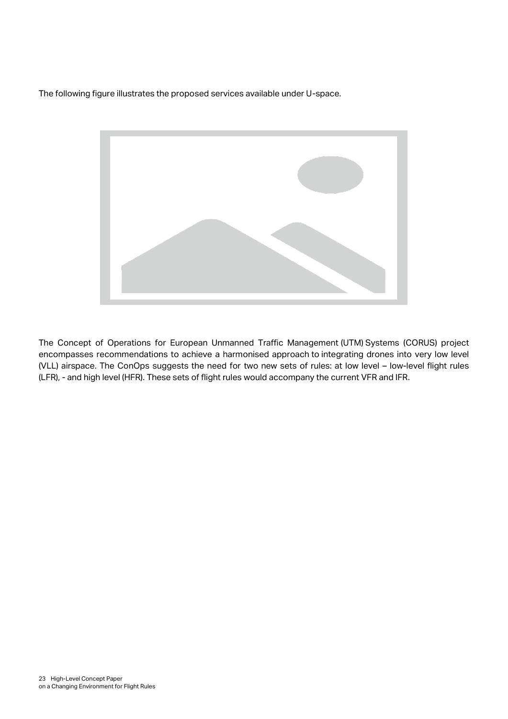The following figure illustrates the proposed services available under U-space.



The Concept of Operations for European Unmanned Traffic Management (UTM) Systems (CORUS) project encompasses recommendations to achieve a harmonised approach to integrating drones into very low level (VLL) airspace. The ConOps suggests the need for two new sets of rules: at low level – low-level flight rules (LFR), - and high level (HFR). These sets of flight rules would accompany the current VFR and IFR.